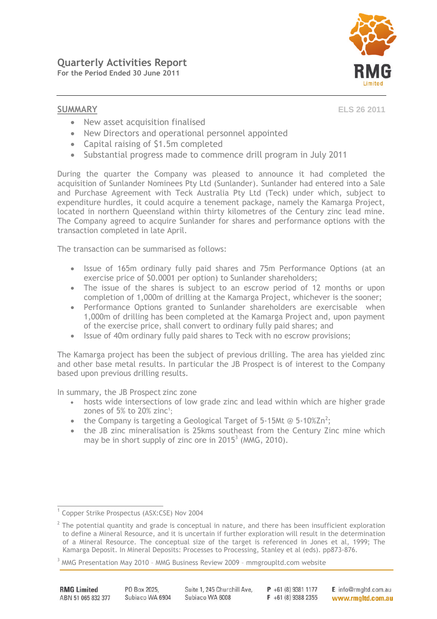

**SUMMARY ELS 26 2011**

- New asset acquisition finalised
- New Directors and operational personnel appointed
- Capital raising of \$1.5m completed
- Substantial progress made to commence drill program in July 2011

During the quarter the Company was pleased to announce it had completed the acquisition of Sunlander Nominees Pty Ltd (Sunlander). Sunlander had entered into a Sale and Purchase Agreement with Teck Australia Pty Ltd (Teck) under which, subject to expenditure hurdles, it could acquire a tenement package, namely the Kamarga Project, located in northern Queensland within thirty kilometres of the Century zinc lead mine. The Company agreed to acquire Sunlander for shares and performance options with the transaction completed in late April.

The transaction can be summarised as follows:

- Issue of 165m ordinary fully paid shares and 75m Performance Options (at an exercise price of \$0.0001 per option) to Sunlander shareholders;
- The issue of the shares is subject to an escrow period of 12 months or upon completion of 1,000m of drilling at the Kamarga Project, whichever is the sooner;
- Performance Options granted to Sunlander shareholders are exercisable when 1,000m of drilling has been completed at the Kamarga Project and, upon payment of the exercise price, shall convert to ordinary fully paid shares; and
- Issue of 40m ordinary fully paid shares to Teck with no escrow provisions;

The Kamarga project has been the subject of previous drilling. The area has yielded zinc and other base metal results. In particular the JB Prospect is of interest to the Company based upon previous drilling results.

In summary, the JB Prospect zinc zone

- hosts wide intersections of low grade zinc and lead within which are higher grade zones of 5% to 20% zinc<sup>1</sup>[;](#page-0-0)
- the Company is targeting a Geological Target of 5-15Mt @ 5-10%Zn<sup>2</sup>;
- the JB zinc mineralisation is 25kms southeast from the Century Zinc mine which may be in short supply of zinc ore in  $2015<sup>3</sup>$  [\(MMG, 2010\).](#page-0-1)

<span id="page-0-0"></span><sup>&</sup>lt;sup>1</sup> Copper Strike Prospectus (ASX:CSE) Nov 2004

 $2$  The potential quantity and grade is conceptual in nature, and there has been insufficient exploration to define a Mineral Resource, and it is uncertain if further exploration will result in the determination of a Mineral Resource. The conceptual size of the target is referenced in Jones et al, 1999; The Kamarga Deposit. In Mineral Deposits: Processes to Processing, Stanley et al (eds). pp873-876.

<span id="page-0-1"></span><sup>&</sup>lt;sup>3</sup> MMG Presentation May 2010 - MMG Business Review 2009 - mmgroupltd.com website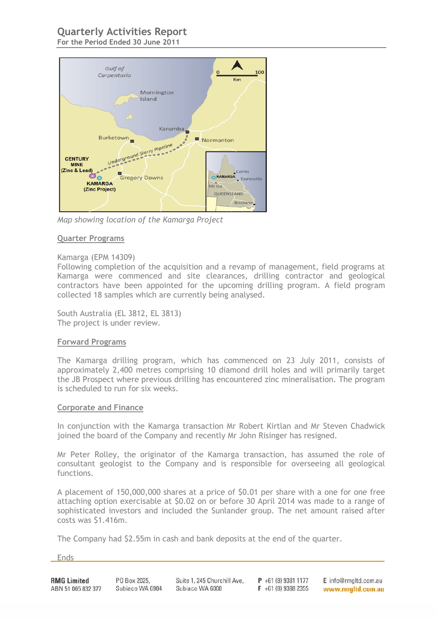# **Quarterly Activities Report**

**For the Period Ended 30 June 2011**



*Map showing location of the Kamarga Project*

#### **Quarter Programs**

#### Kamarga (EPM 14309)

Following completion of the acquisition and a revamp of management, field programs at Kamarga were commenced and site clearances, drilling contractor and geological contractors have been appointed for the upcoming drilling program. A field program collected 18 samples which are currently being analysed.

South Australia (EL 3812, EL 3813) The project is under review.

#### **Forward Programs**

The Kamarga drilling program, which has commenced on 23 July 2011, consists of approximately 2,400 metres comprising 10 diamond drill holes and will primarily target the JB Prospect where previous drilling has encountered zinc mineralisation. The program is scheduled to run for six weeks.

#### **Corporate and Finance**

In conjunction with the Kamarga transaction Mr Robert Kirtlan and Mr Steven Chadwick joined the board of the Company and recently Mr John Risinger has resigned.

Mr Peter Rolley, the originator of the Kamarga transaction, has assumed the role of consultant geologist to the Company and is responsible for overseeing all geological functions.

A placement of 150,000,000 shares at a price of \$0.01 per share with a one for one free attaching option exercisable at \$0.02 on or before 30 April 2014 was made to a range of sophisticated investors and included the Sunlander group. The net amount raised after costs was \$1.416m.

The Company had \$2.55m in cash and bank deposits at the end of the quarter.

**Ends**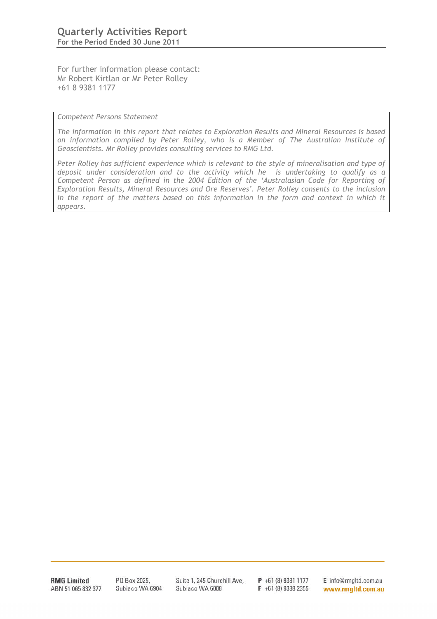For further information please contact: Mr Robert Kirtlan or Mr Peter Rolley +61 8 9381 1177

*Competent Persons Statement*

*The information in this report that relates to Exploration Results and Mineral Resources is based on information compiled by Peter Rolley, who is a Member of The Australian Institute of Geoscientists. Mr Rolley provides consulting services to RMG Ltd.*

*Peter Rolley has sufficient experience which is relevant to the style of mineralisation and type of deposit under consideration and to the activity which he is undertaking to qualify as a Competent Person as defined in the 2004 Edition of the 'Australasian Code for Reporting of Exploration Results, Mineral Resources and Ore Reserves'. Peter Rolley consents to the inclusion* in the report of the matters based on this information in the form and context in which it *appears.*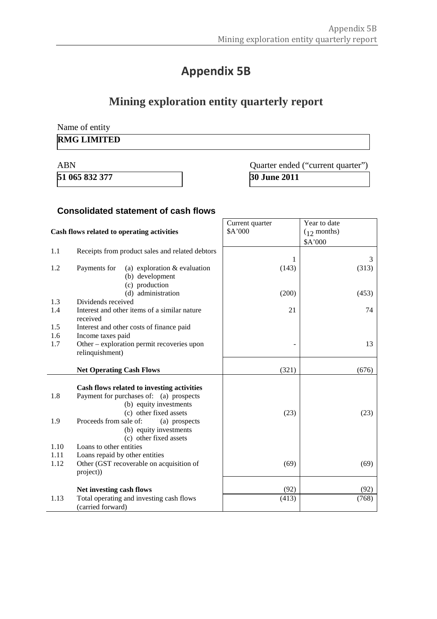# **Appendix 5B**

# **Mining exploration entity quarterly report**

Name of entity

## **RMG LIMITED**

# ABN Quarter ended ("current quarter") **51 065 832 377 30 June 2011**

## **Consolidated statement of cash flows**

| Cash flows related to operating activities |                                                                   | Current quarter<br>\$A'000 | Year to date<br>$(12 \text{ months})$ |
|--------------------------------------------|-------------------------------------------------------------------|----------------------------|---------------------------------------|
|                                            |                                                                   |                            | \$A'000                               |
| 1.1                                        | Receipts from product sales and related debtors                   |                            |                                       |
|                                            |                                                                   | 1                          | 3                                     |
| 1.2                                        | Payments for<br>(a) exploration $&$ evaluation<br>(b) development | (143)                      | (313)                                 |
|                                            | (c) production                                                    |                            |                                       |
|                                            | (d) administration                                                | (200)                      | (453)                                 |
| 1.3                                        | Dividends received                                                |                            |                                       |
| 1.4                                        | Interest and other items of a similar nature<br>received          | 21                         | 74                                    |
| 1.5                                        | Interest and other costs of finance paid                          |                            |                                       |
| 1.6                                        | Income taxes paid                                                 |                            |                                       |
| 1.7                                        | Other – exploration permit recoveries upon                        |                            | 13                                    |
|                                            | relinquishment)                                                   |                            |                                       |
|                                            |                                                                   |                            |                                       |
|                                            | <b>Net Operating Cash Flows</b>                                   | (321)                      | (676)                                 |
|                                            | Cash flows related to investing activities                        |                            |                                       |
| 1.8                                        | Payment for purchases of: (a) prospects                           |                            |                                       |
|                                            | (b) equity investments                                            |                            |                                       |
|                                            | (c) other fixed assets                                            | (23)                       | (23)                                  |
| 1.9                                        | Proceeds from sale of:<br>(a) prospects                           |                            |                                       |
|                                            | (b) equity investments                                            |                            |                                       |
|                                            | (c) other fixed assets                                            |                            |                                       |
| 1.10                                       | Loans to other entities                                           |                            |                                       |
| 1.11                                       | Loans repaid by other entities                                    |                            |                                       |
| 1.12                                       | Other (GST recoverable on acquisition of                          | (69)                       | (69)                                  |
|                                            | project))                                                         |                            |                                       |
|                                            |                                                                   |                            |                                       |
|                                            | Net investing cash flows                                          | (92)                       | (92)                                  |
| 1.13                                       | Total operating and investing cash flows                          | (413)                      | (768)                                 |
|                                            | (carried forward)                                                 |                            |                                       |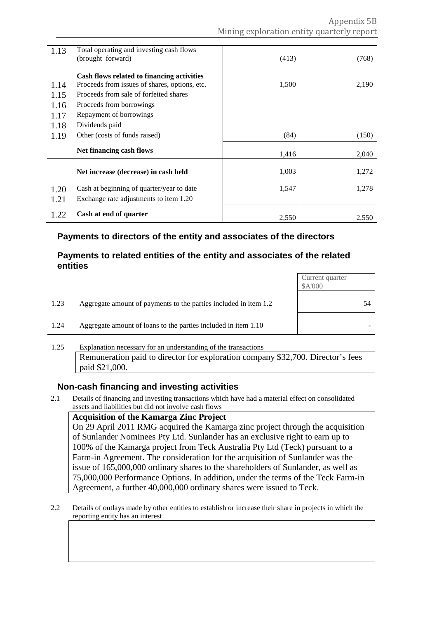| 1.13 | Total operating and investing cash flows      |       |       |
|------|-----------------------------------------------|-------|-------|
|      | (brought forward)                             | (413) | (768) |
|      |                                               |       |       |
|      | Cash flows related to financing activities    |       |       |
| 1.14 | Proceeds from issues of shares, options, etc. | 1,500 | 2,190 |
| 1.15 | Proceeds from sale of forfeited shares        |       |       |
| 1.16 | Proceeds from borrowings                      |       |       |
| 1.17 | Repayment of borrowings                       |       |       |
| 1.18 | Dividends paid                                |       |       |
| 1.19 | Other (costs of funds raised)                 | (84)  | (150) |
|      | Net financing cash flows                      |       |       |
|      |                                               | 1,416 | 2,040 |
|      | Net increase (decrease) in cash held          | 1,003 | 1,272 |
|      |                                               |       |       |
| 1.20 | Cash at beginning of quarter/year to date     | 1,547 | 1,278 |
| 1.21 | Exchange rate adjustments to item 1.20        |       |       |
|      | Cash at end of quarter                        |       |       |
| 1.22 |                                               | 2,550 | 2,550 |

## **Payments to directors of the entity and associates of the directors**

### **Payments to related entities of the entity and associates of the related entities**

|      |                                                                  | Current quarter<br>\$A'000 |
|------|------------------------------------------------------------------|----------------------------|
| 1.23 | Aggregate amount of payments to the parties included in item 1.2 | 54                         |
| 1.24 | Aggregate amount of loans to the parties included in item 1.10   |                            |

#### 1.25 Explanation necessary for an understanding of the transactions Remuneration paid to director for exploration company \$32,700. Director's fees paid \$21,000.

## **Non-cash financing and investing activities**

2.1 Details of financing and investing transactions which have had a material effect on consolidated assets and liabilities but did not involve cash flows

#### **Acquisition of the Kamarga Zinc Project**

On 29 April 2011 RMG acquired the Kamarga zinc project through the acquisition of Sunlander Nominees Pty Ltd. Sunlander has an exclusive right to earn up to 100% of the Kamarga project from Teck Australia Pty Ltd (Teck) pursuant to a Farm-in Agreement. The consideration for the acquisition of Sunlander was the issue of 165,000,000 ordinary shares to the shareholders of Sunlander, as well as 75,000,000 Performance Options. In addition, under the terms of the Teck Farm-in Agreement, a further 40,000,000 ordinary shares were issued to Teck.

2.2 Details of outlays made by other entities to establish or increase their share in projects in which the reporting entity has an interest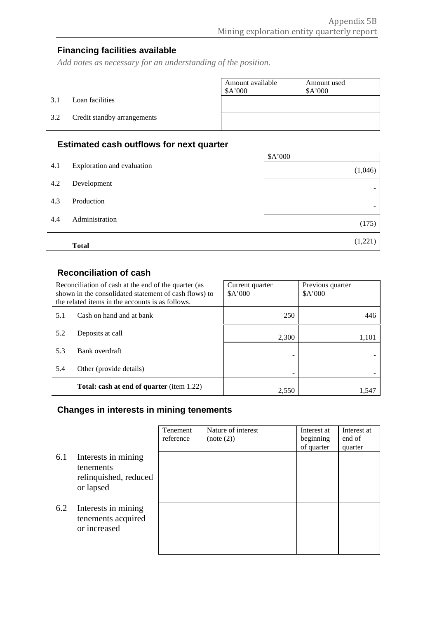# **Financing facilities available**

*Add notes as necessary for an understanding of the position.*

|     |                             | Amount available<br>\$A'000 | Amount used<br>\$A'000 |
|-----|-----------------------------|-----------------------------|------------------------|
| 3.1 | Loan facilities             |                             |                        |
| 3.2 | Credit standby arrangements |                             |                        |

# **Estimated cash outflows for next quarter**

|     |                            | \$A'000 |
|-----|----------------------------|---------|
| 4.1 | Exploration and evaluation | (1,046) |
| 4.2 | Development                | -       |
| 4.3 | Production                 | -       |
| 4.4 | Administration             | (175)   |
|     | <b>Total</b>               | (1,221) |

# **Reconciliation of cash**

| Reconciliation of cash at the end of the quarter (as<br>shown in the consolidated statement of cash flows) to<br>the related items in the accounts is as follows. |                                           | Current quarter<br>\$A'000 | Previous quarter<br>\$A'000 |
|-------------------------------------------------------------------------------------------------------------------------------------------------------------------|-------------------------------------------|----------------------------|-----------------------------|
| 5.1                                                                                                                                                               | Cash on hand and at bank                  | 250                        | 446                         |
| 5.2                                                                                                                                                               | Deposits at call                          | 2,300                      | 1,101                       |
| 5.3                                                                                                                                                               | Bank overdraft                            | -                          |                             |
| 5.4                                                                                                                                                               | Other (provide details)                   | -                          |                             |
|                                                                                                                                                                   | Total: cash at end of quarter (item 1.22) | 2,550                      | 1.547                       |

# **Changes in interests in mining tenements**

|     |                                                                        | Tenement<br>reference | Nature of interest<br>(note (2)) | Interest at<br>beginning | Interest at<br>end of |
|-----|------------------------------------------------------------------------|-----------------------|----------------------------------|--------------------------|-----------------------|
| 6.1 | Interests in mining<br>tenements<br>relinquished, reduced<br>or lapsed |                       |                                  | of quarter               | quarter               |
| 6.2 | Interests in mining<br>tenements acquired<br>or increased              |                       |                                  |                          |                       |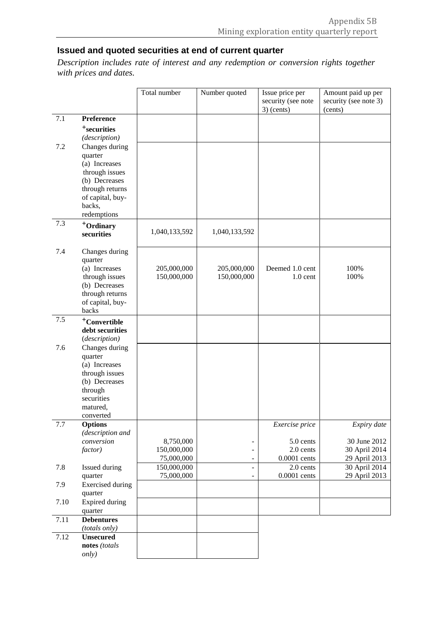# **Issued and quoted securities at end of current quarter**

*Description includes rate of interest and any redemption or conversion rights together with prices and dates.*

|         |                                                                                                                                                                | Total number                           | Number quoted              | Issue price per<br>security (see note<br>$3)$ (cents)    | Amount paid up per<br>security (see note 3)<br>(cents)        |
|---------|----------------------------------------------------------------------------------------------------------------------------------------------------------------|----------------------------------------|----------------------------|----------------------------------------------------------|---------------------------------------------------------------|
| 7.1     | Preference<br><sup>+</sup> securities                                                                                                                          |                                        |                            |                                                          |                                                               |
| 7.2     | (description)<br>Changes during<br>quarter<br>(a) Increases<br>through issues<br>(b) Decreases<br>through returns<br>of capital, buy-<br>backs,<br>redemptions |                                        |                            |                                                          |                                                               |
| 7.3     | +Ordinary<br>securities                                                                                                                                        | 1,040,133,592                          | 1,040,133,592              |                                                          |                                                               |
| 7.4     | Changes during<br>quarter<br>(a) Increases<br>through issues<br>(b) Decreases<br>through returns<br>of capital, buy-<br>backs                                  | 205,000,000<br>150,000,000             | 205,000,000<br>150,000,000 | Deemed 1.0 cent<br>$1.0$ cent                            | 100%<br>100%                                                  |
| 7.5     | <sup>+</sup> Convertible<br>debt securities<br>(description)                                                                                                   |                                        |                            |                                                          |                                                               |
| 7.6     | Changes during<br>quarter<br>(a) Increases<br>through issues<br>(b) Decreases<br>through<br>securities<br>matured,<br>converted                                |                                        |                            |                                                          |                                                               |
| $7.7\,$ | <b>Options</b><br>(description and<br>conversion<br>factor)                                                                                                    | 8,750,000<br>150,000,000<br>75,000,000 |                            | Exercise price<br>5.0 cents<br>2.0 cents<br>0.0001 cents | Expiry date<br>30 June 2012<br>30 April 2014<br>29 April 2013 |
| 7.8     | Issued during<br>quarter                                                                                                                                       | 150,000,000<br>75,000,000              |                            | 2.0 cents<br>0.0001 cents                                | 30 April 2014<br>29 April 2013                                |
| 7.9     | <b>Exercised</b> during<br>quarter                                                                                                                             |                                        |                            |                                                          |                                                               |
| 7.10    | <b>Expired during</b><br>quarter                                                                                                                               |                                        |                            |                                                          |                                                               |
| 7.11    | <b>Debentures</b><br>(totals only)                                                                                                                             |                                        |                            |                                                          |                                                               |
| 7.12    | <b>Unsecured</b><br>notes (totals<br><i>only</i> )                                                                                                             |                                        |                            |                                                          |                                                               |